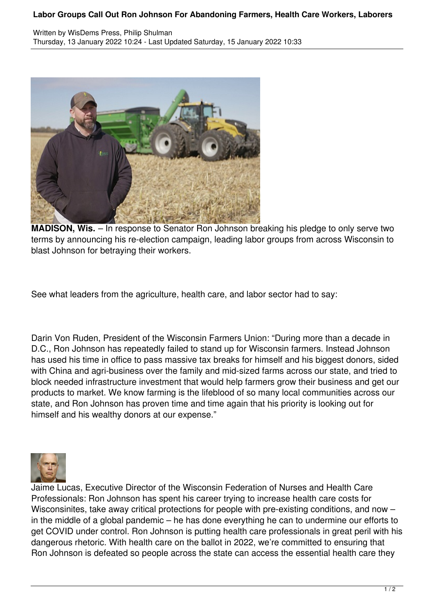## **Labor Groups Call Out Ron Johnson For Abandoning Farmers, Health Care Workers, Laborers**



**MADISON, Wis.** – In response to Senator Ron Johnson breaking his pledge to only serve two terms by announcing his re-election campaign, leading labor groups from across Wisconsin to blast Johnson for betraying their workers.

See what leaders from the agriculture, health care, and labor sector had to say:

Darin Von Ruden, President of the Wisconsin Farmers Union: "During more than a decade in D.C., Ron Johnson has repeatedly failed to stand up for Wisconsin farmers. Instead Johnson has used his time in office to pass massive tax breaks for himself and his biggest donors, sided with China and agri-business over the family and mid-sized farms across our state, and tried to block needed infrastructure investment that would help farmers grow their business and get our products to market. We know farming is the lifeblood of so many local communities across our state, and Ron Johnson has proven time and time again that his priority is looking out for himself and his wealthy donors at our expense."



Jaime Lucas, Executive Director of the Wisconsin Federation of Nurses and Health Care Professionals: Ron Johnson has spent his career trying to increase health care costs for Wisconsinites, take away critical protections for people with pre-existing conditions, and now – in the middle of a global pandemic – he has done everything he can to undermine our efforts to get COVID under control. Ron Johnson is putting health care professionals in great peril with his dangerous rhetoric. With health care on the ballot in 2022, we're committed to ensuring that Ron Johnson is defeated so people across the state can access the essential health care they